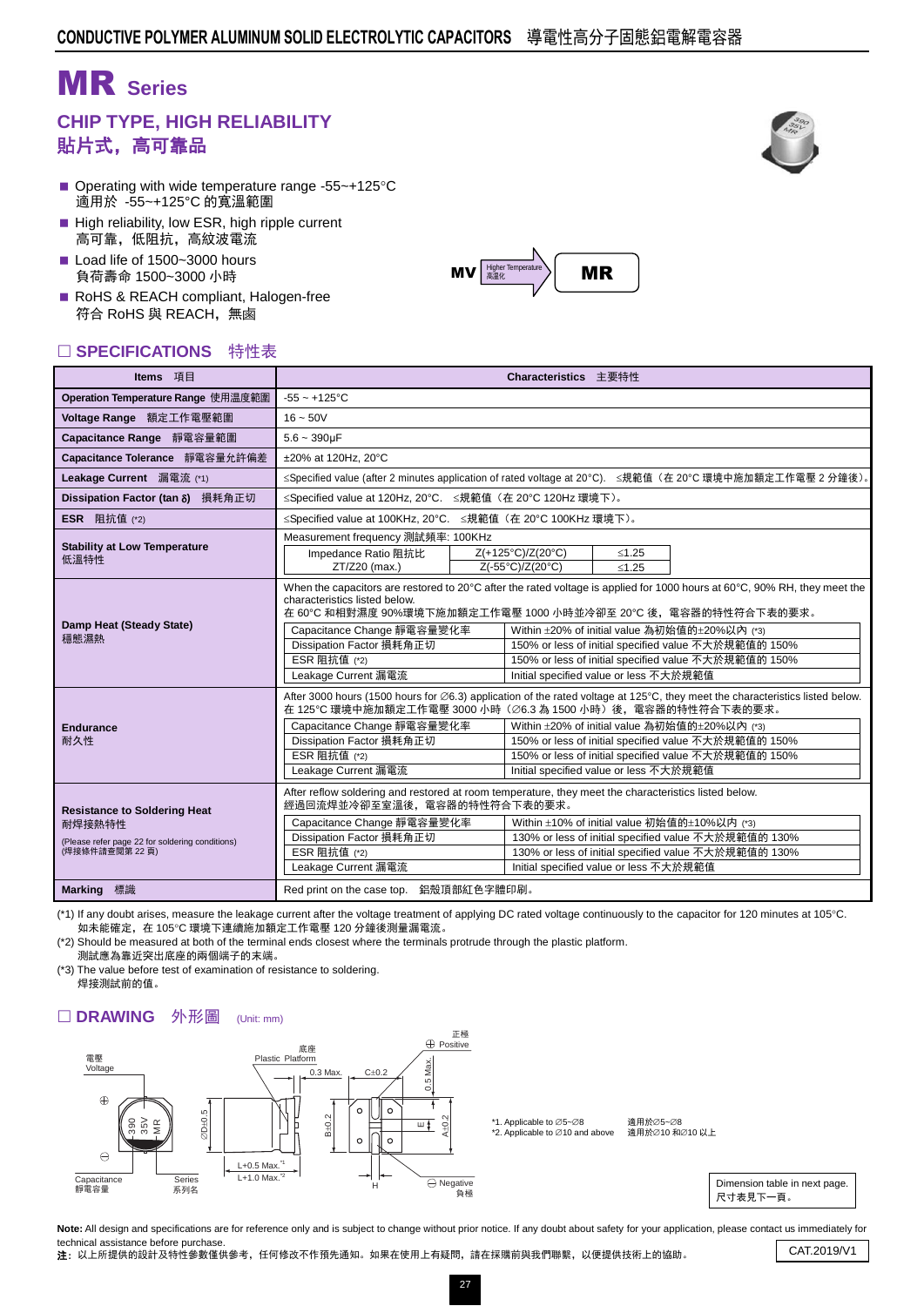# MR **Series**

### **CHIP TYPE, HIGH RELIABILITY** 貼片式,高可靠品

- Operating with wide temperature range -55~+125 $\textdegree$ C 適用於 -55~+125°C 的寬溫範圍
- High reliability, low ESR, high ripple current 高可靠,低阻抗,高紋波電流
- Load life of 1500~3000 hours 負荷壽命 1500~3000 小時
- RoHS & REACH compliant, Halogen-free 符合 RoHS 與 REACH,無鹵

### □ SPECIFICATIONS 特性表



| Items 項目                                                                                                          | Characteristics 主要特性                                                                                                                                                                                                                 |  |                                                                                                                                                                                                                                                                                                                                                                                                                      |         |                                                                                                                                                              |  |  |  |  |  |
|-------------------------------------------------------------------------------------------------------------------|--------------------------------------------------------------------------------------------------------------------------------------------------------------------------------------------------------------------------------------|--|----------------------------------------------------------------------------------------------------------------------------------------------------------------------------------------------------------------------------------------------------------------------------------------------------------------------------------------------------------------------------------------------------------------------|---------|--------------------------------------------------------------------------------------------------------------------------------------------------------------|--|--|--|--|--|
| Operation Temperature Range 使用温度範圍                                                                                | $-55 - +125$ °C                                                                                                                                                                                                                      |  |                                                                                                                                                                                                                                                                                                                                                                                                                      |         |                                                                                                                                                              |  |  |  |  |  |
| Voltage Range 額定工作電壓範圍                                                                                            | $16 - 50V$                                                                                                                                                                                                                           |  |                                                                                                                                                                                                                                                                                                                                                                                                                      |         |                                                                                                                                                              |  |  |  |  |  |
| Capacitance Range 靜電容量範圍                                                                                          | $5.6 - 390$ uF                                                                                                                                                                                                                       |  |                                                                                                                                                                                                                                                                                                                                                                                                                      |         |                                                                                                                                                              |  |  |  |  |  |
| Capacitance Tolerance 靜電容量允許偏差                                                                                    | ±20% at 120Hz, 20°C                                                                                                                                                                                                                  |  |                                                                                                                                                                                                                                                                                                                                                                                                                      |         |                                                                                                                                                              |  |  |  |  |  |
| Leakage Current 漏電流 (*1)                                                                                          |                                                                                                                                                                                                                                      |  |                                                                                                                                                                                                                                                                                                                                                                                                                      |         | ≤Specified value (after 2 minutes application of rated voltage at 20°C). ≤規範值 (在 20°C 環境中施加額定工作電壓 2 分鐘後)。                                                    |  |  |  |  |  |
| Dissipation Factor (tan δ) 損耗角正切                                                                                  | ≤Specified value at 120Hz, 20°C. ≤規範值 (在 20°C 120Hz 環境下)。                                                                                                                                                                            |  |                                                                                                                                                                                                                                                                                                                                                                                                                      |         |                                                                                                                                                              |  |  |  |  |  |
| <b>ESR</b> 阻抗值 (*2)                                                                                               | ≤Specified value at 100KHz, 20°C. ≤規範值 (在 20°C 100KHz 環境下)。                                                                                                                                                                          |  |                                                                                                                                                                                                                                                                                                                                                                                                                      |         |                                                                                                                                                              |  |  |  |  |  |
| <b>Stability at Low Temperature</b>                                                                               | Measurement frequency 測試頻率: 100KHz                                                                                                                                                                                                   |  |                                                                                                                                                                                                                                                                                                                                                                                                                      |         |                                                                                                                                                              |  |  |  |  |  |
| 低溫特性                                                                                                              | Impedance Ratio 阻抗比                                                                                                                                                                                                                  |  | Z(+125°C)/Z(20°C)                                                                                                                                                                                                                                                                                                                                                                                                    | < 1.25  |                                                                                                                                                              |  |  |  |  |  |
|                                                                                                                   | $ZT/Z20$ (max.)                                                                                                                                                                                                                      |  | Z(-55°C)/Z(20°C)                                                                                                                                                                                                                                                                                                                                                                                                     | $≤1.25$ |                                                                                                                                                              |  |  |  |  |  |
| Damp Heat (Steady State)<br>穩態濕熱                                                                                  | characteristics listed below.<br>Capacitance Change 靜電容量變化率<br>Dissipation Factor 損耗角正切<br>ESR 阻抗值 (*2)<br>Leakage Current 漏電流                                                                                                       |  | When the capacitors are restored to 20°C after the rated voltage is applied for 1000 hours at 60°C, 90% RH, they meet the<br>在 60℃ 和相對濕度 90%環境下施加額定工作電壓 1000 小時並冷卻至 20℃ 後,電容器的特性符合下表的要求。<br>Within ±20% of initial value 為初始值的±20%以內 (*3)<br>150% or less of initial specified value 不大於規範值的 150%<br>150% or less of initial specified value 不大於規範值的 150%<br>Initial specified value or less 不大於規範值                  |         |                                                                                                                                                              |  |  |  |  |  |
| <b>Endurance</b><br>耐久性                                                                                           | Capacitance Change 靜電容量變化率<br>Dissipation Factor 損耗角正切<br>ESR 阻抗值 (*2)<br>Leakage Current 漏電流                                                                                                                                        |  | After 3000 hours (1500 hours for $\emptyset$ 6.3) application of the rated voltage at 125°C, they meet the characteristics listed below.<br>在 125℃ 環境中施加額定工作電壓 3000 小時 (∅6.3 為 1500 小時) 後, 電容器的特性符合下表的要求。<br>Within ±20% of initial value 為初始值的±20%以內 (*3)<br>150% or less of initial specified value 不大於規範值的 150%<br>150% or less of initial specified value 不大於規範值的 150%<br>Initial specified value or less 不大於規範值 |         |                                                                                                                                                              |  |  |  |  |  |
| <b>Resistance to Soldering Heat</b><br>耐焊接熱特性<br>(Please refer page 22 for soldering conditions)<br>(焊接條件請查閱第22頁) | After reflow soldering and restored at room temperature, they meet the characteristics listed below.<br>經過回流焊並冷卻至室溫後,電容器的特性符合下表的要求。<br>Capacitance Change 靜電容量變化率<br>Dissipation Factor 損耗角正切<br>ESR 阻抗值 (*2)<br>Leakage Current 漏電流 |  | Initial specified value or less 不大於規範值                                                                                                                                                                                                                                                                                                                                                                               |         | Within ±10% of initial value 初始值的±10%以内 (*3)<br>130% or less of initial specified value 不大於規範值的 130%<br>130% or less of initial specified value 不大於規範值的 130% |  |  |  |  |  |
| Marking 標識                                                                                                        | Red print on the case top. 鋁殼頂部紅色字體印刷。                                                                                                                                                                                               |  |                                                                                                                                                                                                                                                                                                                                                                                                                      |         |                                                                                                                                                              |  |  |  |  |  |

(\*1) If any doubt arises, measure the leakage current after the voltage treatment of applying DC rated voltage continuously to the capacitor for 120 minutes at 105°C. 如未能確定,在 105C 環境下連續施加額定工作電壓 120 分鐘後測量漏電流。

(\*2) Should be measured at both of the terminal ends closest where the terminals protrude through the plastic platform. 測試應為靠近突出底座的兩個端子的末端。

(\*3) The value before test of examination of resistance to soldering. 焊接測試前的值。

#### □ DRAWING 外形圖 (Unit: mm)



Note: All design and specifications are for reference only and is subject to change without prior notice. If any doubt about safety for your application, please contact us immediately for technical assistance before purchase.

tecnnical assistance before purcriase.<br>1997年:以上所提供的設計及特性參數僅供參考,任何修改不作預先通知。如果在使用上有疑問,請在採購前與我們聯繫,以便提供技術上的協助。 CAT.2019/V1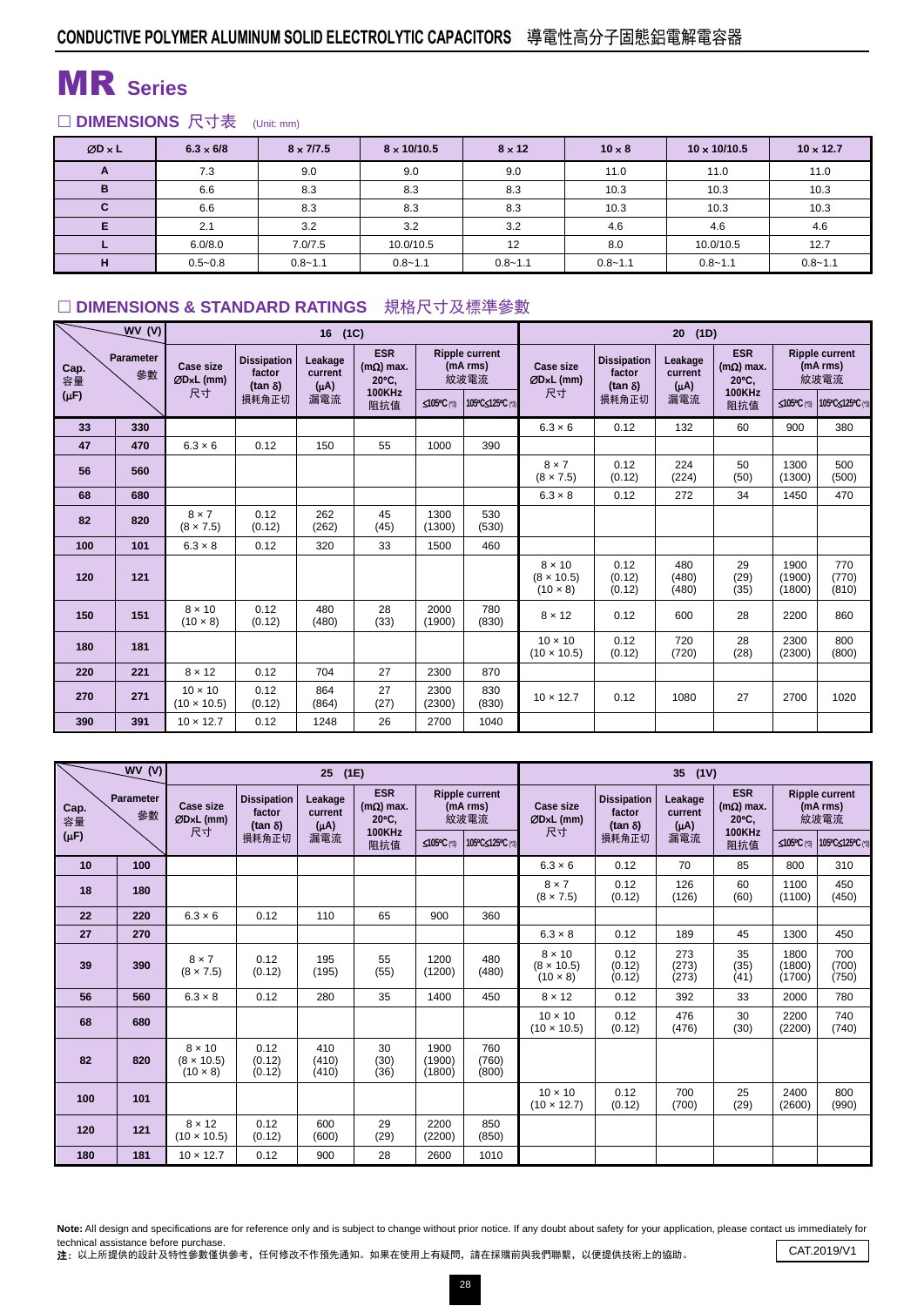# MR **Series**

### □ DIMENSIONS 尺寸表 (Unit: mm)

| $ØD \times L$ | $6.3 \times 6/8$ | $8 \times 7/7.5$ | $8 \times 10/10.5$ | $8 \times 12$ | $10 \times 8$ | $10 \times 10/10.5$ | $10 \times 12.7$ |
|---------------|------------------|------------------|--------------------|---------------|---------------|---------------------|------------------|
| A             | 7.3              | 9.0              | 9.0                | 9.0           | 11.0          | 11.0                | 11.0             |
| B             | 6.6              | 8.3              | 8.3                | 8.3           | 10.3          | 10.3                | 10.3             |
| С             | 6.6              | 8.3              | 8.3                | 8.3           | 10.3          | 10.3                | 10.3             |
| Е             | 2.1              | 3.2              | 3.2                | 3.2           | 4.6           | 4.6                 | 4.6              |
|               | 6.0/8.0          | 7.0/7.5          | 10.0/10.5          | 12            | 8.0           | 10.0/10.5           | 12.7             |
| H             | $0.5 - 0.8$      | $0.8 - 1.1$      | $0.8 - 1.1$        | $0.8 - 1.1$   | $0.8 - 1.1$   | $0.8 - 1.1$         | $0.8 - 1.1$      |

### □ DIMENSIONS & STANDARD RATINGS 規格尺寸及標準參數

|                         | WV(V)           |                                      |                                                | (1C)                            | 20<br>(1D)                                        |                                           |                  |                                                       |                                                |                                 |                                         |                                           |                              |
|-------------------------|-----------------|--------------------------------------|------------------------------------------------|---------------------------------|---------------------------------------------------|-------------------------------------------|------------------|-------------------------------------------------------|------------------------------------------------|---------------------------------|-----------------------------------------|-------------------------------------------|------------------------------|
| Cap.<br>容量<br>$(\mu F)$ | Parameter<br>參數 | <b>Case size</b><br>ØDxL (mm)<br>尺寸  | <b>Dissipation</b><br>factor<br>$(tan \delta)$ | Leakage<br>current<br>$(\mu A)$ | <b>ESR</b><br>$(m\Omega)$ max.<br>$20^{\circ}$ C. | <b>Ripple current</b><br>(mA rms)<br>紋波電流 |                  | <b>Case size</b><br>ØDxL (mm)                         | <b>Dissipation</b><br>factor<br>$(tan \delta)$ | Leakage<br>current<br>$(\mu A)$ | <b>ESR</b><br>$(m\Omega)$ max.<br>20°C. | <b>Ripple current</b><br>(mA rms)<br>紋波電流 |                              |
|                         |                 |                                      | 損耗角正切                                          | 漏電流                             | <b>100KHz</b><br>阻抗值                              | ≤105°C (*3)                               | 105°C≤125°C (*3) | 尺寸                                                    | 損耗角正切                                          | 漏電流                             | <b>100KHz</b><br>阻抗值                    |                                           | ≤105°C (*3) 105°C≤125°C (*3) |
| 33                      | 330             |                                      |                                                |                                 |                                                   |                                           |                  | $6.3 \times 6$                                        | 0.12                                           | 132                             | 60                                      | 900                                       | 380                          |
| 47                      | 470             | $6.3 \times 6$                       | 0.12                                           | 150                             | 55                                                | 1000                                      | 390              |                                                       |                                                |                                 |                                         |                                           |                              |
| 56                      | 560             |                                      |                                                |                                 |                                                   |                                           |                  | $8 \times 7$<br>$(8 \times 7.5)$                      | 0.12<br>(0.12)                                 | 224<br>(224)                    | 50<br>(50)                              | 1300<br>(1300)                            | 500<br>(500)                 |
| 68                      | 680             |                                      |                                                |                                 |                                                   |                                           |                  | $6.3 \times 8$                                        | 0.12                                           | 272                             | 34                                      | 1450                                      | 470                          |
| 82                      | 820             | $8 \times 7$<br>$(8 \times 7.5)$     | 0.12<br>(0.12)                                 | 262<br>(262)                    | 45<br>(45)                                        | 1300<br>(1300)                            | 530<br>(530)     |                                                       |                                                |                                 |                                         |                                           |                              |
| 100                     | 101             | $6.3 \times 8$                       | 0.12                                           | 320                             | 33                                                | 1500                                      | 460              |                                                       |                                                |                                 |                                         |                                           |                              |
| 120                     | 121             |                                      |                                                |                                 |                                                   |                                           |                  | $8 \times 10$<br>$(8 \times 10.5)$<br>$(10 \times 8)$ | 0.12<br>(0.12)<br>(0.12)                       | 480<br>(480)<br>(480)           | 29<br>(29)<br>(35)                      | 1900<br>(1900)<br>(1800)                  | 770<br>(770)<br>(810)        |
| 150                     | 151             | $8 \times 10$<br>$(10 \times 8)$     | 0.12<br>(0.12)                                 | 480<br>(480)                    | 28<br>(33)                                        | 2000<br>(1900)                            | 780<br>(830)     | $8 \times 12$                                         | 0.12                                           | 600                             | 28                                      | 2200                                      | 860                          |
| 180                     | 181             |                                      |                                                |                                 |                                                   |                                           |                  | $10 \times 10$<br>$(10 \times 10.5)$                  | 0.12<br>(0.12)                                 | 720<br>(720)                    | 28<br>(28)                              | 2300<br>(2300)                            | 800<br>(800)                 |
| 220                     | 221             | $8 \times 12$                        | 0.12                                           | 704                             | 27                                                | 2300                                      | 870              |                                                       |                                                |                                 |                                         |                                           |                              |
| 270                     | 271             | $10 \times 10$<br>$(10 \times 10.5)$ | 0.12<br>(0.12)                                 | 864<br>(864)                    | 27<br>(27)                                        | 2300<br>(2300)                            | 830<br>(830)     | $10 \times 12.7$                                      | 0.12                                           | 1080                            | 27                                      | 2700                                      | 1020                         |
| 390                     | 391             | $10 \times 12.7$                     | 0.12                                           | 1248                            | 26                                                | 2700                                      | 1040             |                                                       |                                                |                                 |                                         |                                           |                              |

|            | WV(V)           |                                                       |                                                | (1E)                            | 35<br>(1V)                              |                                           |                       |                                                       |                                                |                                 |                                         |                                           |                       |
|------------|-----------------|-------------------------------------------------------|------------------------------------------------|---------------------------------|-----------------------------------------|-------------------------------------------|-----------------------|-------------------------------------------------------|------------------------------------------------|---------------------------------|-----------------------------------------|-------------------------------------------|-----------------------|
| Cap.<br>容量 | Parameter<br>參數 | <b>Case size</b><br>$ØDxL$ (mm)                       | <b>Dissipation</b><br>factor<br>$(tan \delta)$ | Leakage<br>current<br>$(\mu A)$ | <b>ESR</b><br>$(m\Omega)$ max.<br>20°C. | <b>Ripple current</b><br>(mA rms)<br>紋波電流 |                       | Case size<br>$ØDxL$ (mm)                              | <b>Dissipation</b><br>factor<br>$(tan \delta)$ | Leakage<br>current<br>$(\mu A)$ | <b>ESR</b><br>$(m\Omega)$ max.<br>20°C. | <b>Ripple current</b><br>(mA rms)<br>紋波電流 |                       |
| $(\mu F)$  |                 | 尺寸                                                    | 損耗角正切                                          | 漏電流                             | 100KHz<br>阻抗值                           | ≤105°C (*3)                               | 105°C≤125°C (*3)      | 尺寸                                                    | 損耗角正切                                          | 漏電流                             | <b>100KHz</b><br>阻抗值                    | ≤105°C (*3)                               | 105°C≤125°C (*3)      |
| 10         | 100             |                                                       |                                                |                                 |                                         |                                           |                       | $6.3 \times 6$                                        | 0.12                                           | 70                              | 85                                      | 800                                       | 310                   |
| 18         | 180             |                                                       |                                                |                                 |                                         |                                           |                       | $8 \times 7$<br>$(8 \times 7.5)$                      | 0.12<br>(0.12)                                 | 126<br>(126)                    | 60<br>(60)                              | 1100<br>(1100)                            | 450<br>(450)          |
| 22         | 220             | $6.3 \times 6$                                        | 0.12                                           | 110                             | 65                                      | 900                                       | 360                   |                                                       |                                                |                                 |                                         |                                           |                       |
| 27         | 270             |                                                       |                                                |                                 |                                         |                                           |                       | $6.3 \times 8$                                        | 0.12                                           | 189                             | 45                                      | 1300                                      | 450                   |
| 39         | 390             | $8 \times 7$<br>$(8 \times 7.5)$                      | 0.12<br>(0.12)                                 | 195<br>(195)                    | 55<br>(55)                              | 1200<br>(1200)                            | 480<br>(480)          | $8 \times 10$<br>$(8 \times 10.5)$<br>$(10 \times 8)$ | 0.12<br>(0.12)<br>(0.12)                       | 273<br>(273)<br>(273)           | 35<br>(35)<br>(41)                      | 1800<br>(1800)<br>(1700)                  | 700<br>(700)<br>(750) |
| 56         | 560             | $6.3 \times 8$                                        | 0.12                                           | 280                             | 35                                      | 1400                                      | 450                   | $8 \times 12$                                         | 0.12                                           | 392                             | 33                                      | 2000                                      | 780                   |
| 68         | 680             |                                                       |                                                |                                 |                                         |                                           |                       | $10 \times 10$<br>$(10 \times 10.5)$                  | 0.12<br>(0.12)                                 | 476<br>(476)                    | 30<br>(30)                              | 2200<br>(2200)                            | 740<br>(740)          |
| 82         | 820             | $8 \times 10$<br>$(8 \times 10.5)$<br>$(10 \times 8)$ | 0.12<br>(0.12)<br>(0.12)                       | 410<br>(410)<br>(410)           | 30<br>(30)<br>(36)                      | 1900<br>(1900)<br>(1800)                  | 760<br>(760)<br>(800) |                                                       |                                                |                                 |                                         |                                           |                       |
| 100        | 101             |                                                       |                                                |                                 |                                         |                                           |                       | $10 \times 10$<br>$(10 \times 12.7)$                  | 0.12<br>(0.12)                                 | 700<br>(700)                    | 25<br>(29)                              | 2400<br>(2600)                            | 800<br>(990)          |
| 120        | 121             | $8 \times 12$<br>$(10 \times 10.5)$                   | 0.12<br>(0.12)                                 | 600<br>(600)                    | 29<br>(29)                              | 2200<br>(2200)                            | 850<br>(850)          |                                                       |                                                |                                 |                                         |                                           |                       |
| 180        | 181             | $10 \times 12.7$                                      | 0.12                                           | 900                             | 28                                      | 2600                                      | 1010                  |                                                       |                                                |                                 |                                         |                                           |                       |

Note: All design and specifications are for reference only and is subject to change without prior notice. If any doubt about safety for your application, please contact us immediately for technical assistance before purchase.<br>**注:**以上所提供的設計及特性參數僅供參考,任何修改不作預先通知。如果在使用上有疑問,請在採購前與我們聯繫,以便提供技術上的協助。 CAT.2019/V1